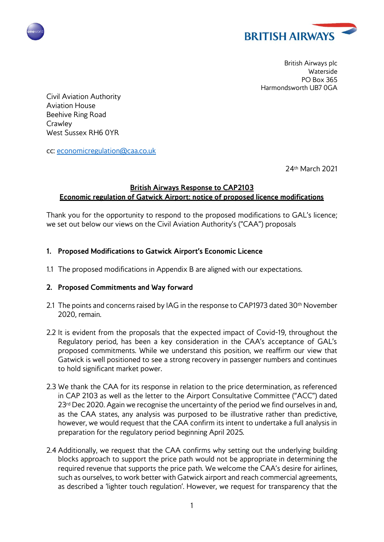



British Airways plc Waterside PO Box 365 Harmondsworth UB7 0GA

Civil Aviation Authority Aviation House Beehive Ring Road **Crawley** West Sussex RH6 0YR

cc: [economicregulation@caa.co.uk](mailto:economicregulation@caa.co.uk)

24th March 2021

## **British Airways Response to CAP2103 Economic regulation of Gatwick Airport: notice of proposed licence modifications**

Thank you for the opportunity to respond to the proposed modifications to GAL's licence; we set out below our views on the Civil Aviation Authority's ("CAA") proposals

- **1. Proposed Modifications to Gatwick Airport's Economic Licence**
- 1.1 The proposed modifications in Appendix B are aligned with our expectations.

## **2. Proposed Commitments and Way forward**

- 2.1 The points and concerns raised by IAG in the response to CAP1973 dated  $30<sup>th</sup>$  November 2020, remain.
- 2.2 It is evident from the proposals that the expected impact of Covid-19, throughout the Regulatory period, has been a key consideration in the CAA's acceptance of GAL's proposed commitments. While we understand this position, we reaffirm our view that Gatwick is well positioned to see a strong recovery in passenger numbers and continues to hold significant market power.
- 2.3 We thank the CAA for its response in relation to the price determination, as referenced in CAP 2103 as well as the letter to the Airport Consultative Committee ("ACC") dated 23<sup>rd</sup> Dec 2020. Again we recognise the uncertainty of the period we find ourselves in and, as the CAA states, any analysis was purposed to be illustrative rather than predictive, however, we would request that the CAA confirm its intent to undertake a full analysis in preparation for the regulatory period beginning April 2025.
- 2.4 Additionally, we request that the CAA confirms why setting out the underlying building blocks approach to support the price path would not be appropriate in determining the required revenue that supports the price path. We welcome the CAA's desire for airlines, such as ourselves, to work better with Gatwick airport and reach commercial agreements, as described a 'lighter touch regulation'. However, we request for transparency that the